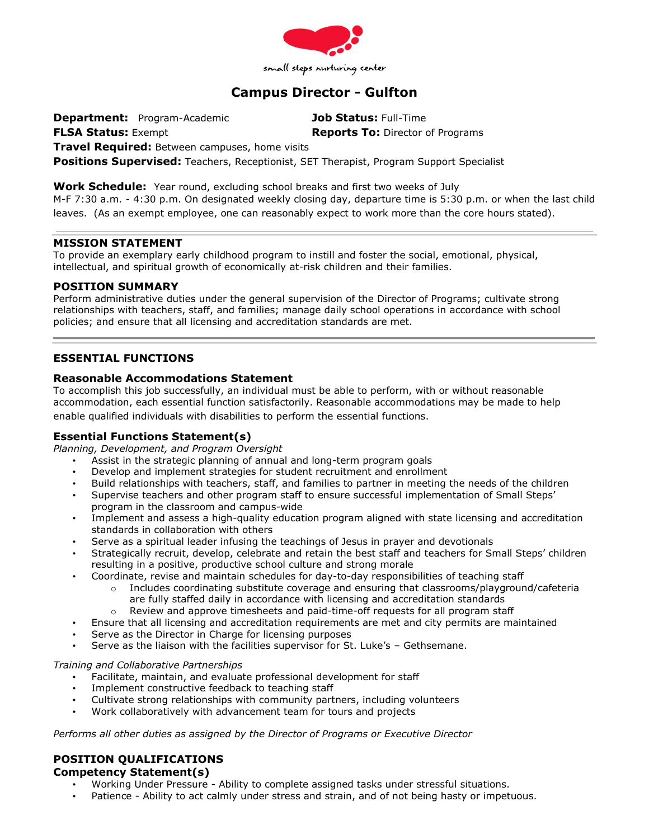

# **Campus Director - Gulfton**

**Department:** Program-Academic **Job Status:** Full-Time **FLSA Status:** Exempt **Reports To:** Director of Programs

**Travel Required:** Between campuses, home visits

**Positions Supervised:** Teachers, Receptionist, SET Therapist, Program Support Specialist

**Work Schedule:** Year round, excluding school breaks and first two weeks of July M-F 7:30 a.m. - 4:30 p.m. On designated weekly closing day, departure time is 5:30 p.m. or when the last child leaves. (As an exempt employee, one can reasonably expect to work more than the core hours stated).

## **MISSION STATEMENT**

To provide an exemplary early childhood program to instill and foster the social, emotional, physical, intellectual, and spiritual growth of economically at-risk children and their families.

## **POSITION SUMMARY**

Perform administrative duties under the general supervision of the Director of Programs; cultivate strong relationships with teachers, staff, and families; manage daily school operations in accordance with school policies; and ensure that all licensing and accreditation standards are met.

# **ESSENTIAL FUNCTIONS**

## **Reasonable Accommodations Statement**

To accomplish this job successfully, an individual must be able to perform, with or without reasonable accommodation, each essential function satisfactorily. Reasonable accommodations may be made to help enable qualified individuals with disabilities to perform the essential functions.

# **Essential Functions Statement(s)**

*Planning, Development, and Program Oversight*

- Assist in the strategic planning of annual and long-term program goals
- Develop and implement strategies for student recruitment and enrollment
- Build relationships with teachers, staff, and families to partner in meeting the needs of the children
- Supervise teachers and other program staff to ensure successful implementation of Small Steps' program in the classroom and campus-wide
- Implement and assess a high-quality education program aligned with state licensing and accreditation standards in collaboration with others
- Serve as a spiritual leader infusing the teachings of Jesus in prayer and devotionals
- Strategically recruit, develop, celebrate and retain the best staff and teachers for Small Steps' children resulting in a positive, productive school culture and strong morale
	- Coordinate, revise and maintain schedules for day-to-day responsibilities of teaching staff
		- $\circ$  Includes coordinating substitute coverage and ensuring that classrooms/playground/cafeteria are fully staffed daily in accordance with licensing and accreditation standards
		- o Review and approve timesheets and paid-time-off requests for all program staff
	- Ensure that all licensing and accreditation requirements are met and city permits are maintained
- Serve as the Director in Charge for licensing purposes
- Serve as the liaison with the facilities supervisor for St. Luke's Gethsemane.

## *Training and Collaborative Partnerships*

- Facilitate, maintain, and evaluate professional development for staff
- Implement constructive feedback to teaching staff
- Cultivate strong relationships with community partners, including volunteers
- Work collaboratively with advancement team for tours and projects

*Performs all other duties as assigned by the Director of Programs or Executive Director*

# **POSITION QUALIFICATIONS**

## **Competency Statement(s)**

- Working Under Pressure Ability to complete assigned tasks under stressful situations.
- Patience Ability to act calmly under stress and strain, and of not being hasty or impetuous.